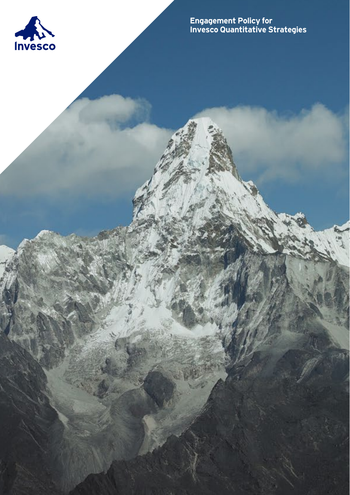

**Engagement Policy for Invesco Quantitative Strategies**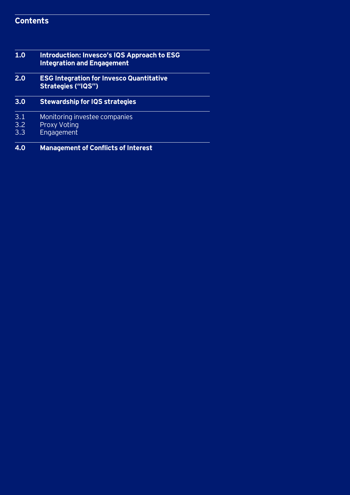# **Contents**

| 1.0 | <b>Introduction: Invesco's IQS Approach to ESG</b><br><b>Integration and Engagement</b> |
|-----|-----------------------------------------------------------------------------------------|
| 2.0 | <b>ESG Integration for Invesco Quantitative</b><br><b>Strategies ("IQS")</b>            |
| 3.0 | <b>Stewardship for IQS strategies</b>                                                   |
| 3.1 | Monitoring investee companies                                                           |
| 3.2 | <b>Proxy Voting</b>                                                                     |
| 3.3 | Engagement                                                                              |
| 4.0 | <b>Management of Conflicts of Interest</b>                                              |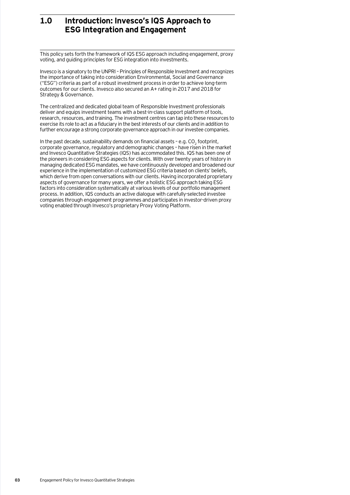# **1.0 Introduction: Invesco's IQS Approach to ESG Integration and Engagement**

This policy sets forth the framework of IQS ESG approach including engagement, proxy voting, and guiding principles for ESG integration into investments.

Invesco is a signatory to the UNPRI – Principles of Responsible Investment and recognizes the importance of taking into consideration Environmental, Social and Governance ("ESG") criteria as part of a robust investment process in order to achieve long-term outcomes for our clients. Invesco also secured an A+ rating in 2017 and 2018 for Strategy & Governance.

The centralized and dedicated global team of Responsible Investment professionals deliver and equips investment teams with a best-in-class support platform of tools, research, resources, and training. The investment centres can tap into these resources to exercise its role to act as a fiduciary in the best interests of our clients and in addition to further encourage a strong corporate governance approach in our investee companies.

In the past decade, sustainability demands on financial assets  $-$  e.g. CO<sub>2</sub> footprint, corporate governance, regulatory and demographic changes – have risen in the market and Invesco Quantitative Strategies (IQS) has accommodated this. IQS has been one of the pioneers in considering ESG aspects for clients. With over twenty years of history in managing dedicated ESG mandates, we have continuously developed and broadened our experience in the implementation of customized ESG criteria based on clients' beliefs, which derive from open conversations with our clients. Having incorporated proprietary aspects of governance for many years, we offer a holistic ESG approach taking ESG factors into consideration systematically at various levels of our portfolio management process. In addition, IQS conducts an active dialogue with carefully-selected investee companies through engagement programmes and participates in investor-driven proxy voting enabled through Invesco's proprietary Proxy Voting Platform.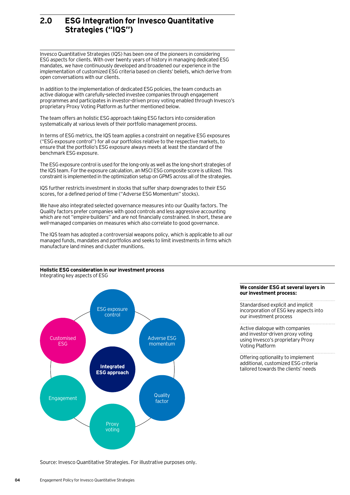# **2.0 ESG Integration for Invesco Quantitative Strategies ("IQS")**

Invesco Quantitative Strategies (IQS) has been one of the pioneers in considering ESG aspects for clients. With over twenty years of history in managing dedicated ESG mandates, we have continuously developed and broadened our experience in the implementation of customized ESG criteria based on clients' beliefs, which derive from open conversations with our clients.

In addition to the implementation of dedicated ESG policies, the team conducts an active dialogue with carefully-selected investee companies through engagement programmes and participates in investor-driven proxy voting enabled through Invesco's proprietary Proxy Voting Platform as further mentioned below.

The team offers an holistic ESG approach taking ESG factors into consideration systematically at various levels of their portfolio management process.

In terms of ESG metrics, the IQS team applies a constraint on negative ESG exposures ("ESG exposure control") for all our portfolios relative to the respective markets, to ensure that the portfolio's ESG exposure always meets at least the standard of the benchmark ESG exposure.

The ESG exposure control is used for the long-only as well as the long-short strategies of the IQS team. For the exposure calculation, an MSCI ESG composite score is utilized. This constraint is implemented in the optimization setup on GPMS across all of the strategies.

IQS further restricts investment in stocks that suffer sharp downgrades to their ESG scores, for a defined period of time ("Adverse ESG Momentum" stocks).

We have also integrated selected governance measures into our Quality factors. The Quality factors prefer companies with good controls and less aggressive accounting which are not "empire-builders" and are not financially constrained. In short, these are well-managed companies on measures which also correlate to good governance.

The IQS team has adopted a controversial weapons policy, which is applicable to all our managed funds, mandates and portfolios and seeks to limit investments in firms which manufacture land mines and cluster munitions.

### **Holistic ESG consideration in our investment process** Integrating key aspects of ESG



### **We consider ESG at several layers in our investment process:**

Standardised explicit and implicit incorporation of ESG key aspects into our investment process

Active dialogue with companies and investor-driven proxy voting using Invesco's proprietary Proxy Voting Platform

Offering optionality to implement additional, customized ESG criteria tailored towards the clients' needs

Source: Invesco Quantitative Strategies. For illustrative purposes only.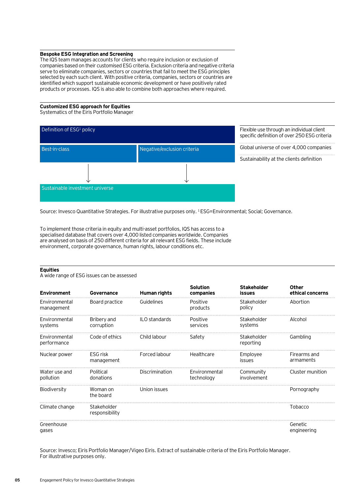### **Bespoke ESG Integration and Screening**

The IQS team manages accounts for clients who require inclusion or exclusion of companies based on their customised ESG criteria. Exclusion criteria and negative criteria serve to eliminate companies, sectors or countries that fail to meet the ESG principles selected by each such client. With positive criteria, companies, sectors or countries are identified which support sustainable economic development or have positively rated products or processes. IQS is also able to combine both approaches where required.

### **Customized ESG approach for Equities**

Systematics of the Eiris Portfolio Manager



Source: Invesco Quantitative Strategies. For illustrative purposes only. 1 ESG=Environmental; Social; Governance.

To implement those criteria in equity and multi-asset portfolios, IQS has access to a specialised database that covers over 4,000 listed companies worldwide. Companies are analysed on basis of 250 different criteria for all relevant ESG fields. These include environment, corporate governance, human rights, labour conditions etc.

### **Equities**

A wide range of ESG issues can be assessed

| <b>Environment</b>           | Governance                    | Human rights   | <b>Solution</b><br>companies | <b>Stakeholder</b><br>issues | Other<br>ethical concerns |
|------------------------------|-------------------------------|----------------|------------------------------|------------------------------|---------------------------|
| Environmental<br>management  | Board practice                | Guidelines     | Positive<br>products         | Stakeholder<br>policy        | Abortion                  |
| Environmental<br>systems     | Bribery and<br>corruption     | ILO standards  | Positive<br>services         | Stakeholder<br>systems       | Alcohol                   |
| Environmental<br>performance | Code of ethics                | Child labour   | Safety                       | Stakeholder<br>reporting     | Gambling                  |
| Nuclear power                | ESG risk<br>management        | Forced labour  | Healthcare                   | Employee<br>issues           | Firearms and<br>armaments |
| Water use and<br>pollution   | Political<br>donations        | Discrimination | Environmental<br>technology  | Community<br>involvement     | Cluster munition          |
| Biodiversity                 | Woman on<br>the board         | Union issues   |                              |                              | Pornography               |
| Climate change               | Stakeholder<br>responsibility |                |                              |                              | Tobacco                   |
| Greenhouse<br>gases          |                               |                |                              |                              | Genetic<br>engineering    |

Source: Invesco; Eiris Portfolio Manager/Vigeo Eiris. Extract of sustainable criteria of the Eiris Portfolio Manager. For illustrative purposes only.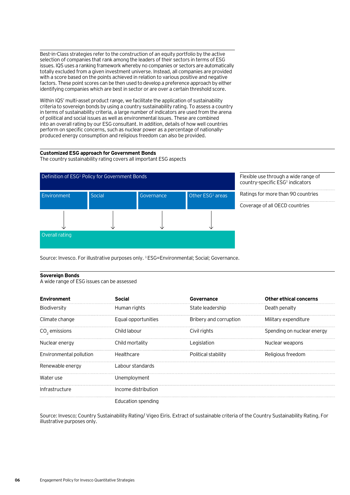Best-in-Class strategies refer to the construction of an equity portfolio by the active selection of companies that rank among the leaders of their sectors in terms of ESG issues. IQS uses a ranking framework whereby no companies or sectors are automatically totally excluded from a given investment universe. Instead, all companies are provided with a score based on the points achieved in relation to various positive and negative factors. These point scores can be then used to develop a preference approach by either identifying companies which are best in sector or are over a certain threshold score.

Within IQS' multi-asset product range, we facilitate the application of sustainability criteria to sovereign bonds by using a country sustainability rating. To assess a country in terms of sustainability criteria, a large number of indicators are used from the arena of political and social issues as well as environmental issues. These are combined into an overall rating by our ESG consultant. In addition, details of how well countries perform on specific concerns, such as nuclear power as a percentage of nationallyproduced energy consumption and religious freedom can also be provided.

## **Customized ESG approach for Government Bonds**

The country sustainability rating covers all important ESG aspects



Flexible use through a wide range of country-specific ESG<sup>1</sup> indicators

Ratings for more than 90 countries

Coverage of all OECD countries

Source: Invesco. For illustrative purposes only. <sup>1</sup>ESG=Environmental; Social; Governance.

### **Sovereign Bonds**

A wide range of ESG issues can be assessed

| Environment             |                     | Governance             | <b>Other ethical concerns</b> |
|-------------------------|---------------------|------------------------|-------------------------------|
| Biodiversity            | Human rights        | State leadership       | Death penalty                 |
| Climate change          | Equal opportunities | Bribery and corruption | Military expenditure          |
| $CO2$ emissions         | Child labour        | Civil rights           | Spending on nuclear energy    |
| Nuclear energy          | Child mortality     | Legislation            | Nuclear weapons               |
| Environmental pollution | Healthcare          | Political stability    | Religious freedom             |
| Renewable energy        | Labour standards    |                        |                               |
| Water use               | Unemployment        |                        |                               |
| Infrastructure          | Income distribution |                        |                               |
|                         | Education spending  |                        |                               |

Source: Invesco; Country Sustainability Rating/ Vigeo Eiris. Extract of sustainable criteria of the Country Sustainability Rating. For illustrative purposes only.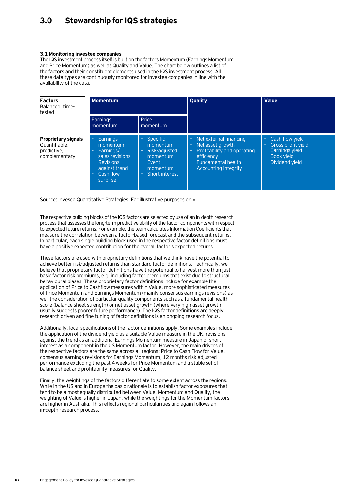# **3.0 Stewardship for IQS strategies**

## **3.1 Monitoring investee companies**

The IQS investment process itself is built on the factors Momentum (Earnings Momentum and Price Momentum) as well as Quality and Value. The chart below outlines a list of the factors and their constituent elements used in the IQS investment process. All these data types are continuously monitored for investee companies in line with the availability of the data.

| <b>Factors</b><br>Balanced, time-<br>tested                                 | <b>Momentum</b>                                                                                                                          |                                                                                                             | <b>Quality</b>                                                                                                                                                                      | <b>Value</b>                                                                                               |
|-----------------------------------------------------------------------------|------------------------------------------------------------------------------------------------------------------------------------------|-------------------------------------------------------------------------------------------------------------|-------------------------------------------------------------------------------------------------------------------------------------------------------------------------------------|------------------------------------------------------------------------------------------------------------|
|                                                                             | Earnings<br>momentum                                                                                                                     | Price<br>momentum                                                                                           |                                                                                                                                                                                     |                                                                                                            |
| <b>Proprietary signals</b><br>Quantifiable.<br>predictive,<br>complementary | <b>Earnings</b><br>momentum<br>Earnings/<br>۰<br>sales revisions<br><b>Revisions</b><br>-<br>against trend<br>Cash flow<br>۳<br>surprise | <b>Specific</b><br>momentum<br>Risk-adjusted<br>momentum<br>Event<br>$\equiv$<br>momentum<br>Short interest | Net external financing<br>÷<br>Net asset growth<br>$\equiv$<br>Profitability and operating<br>$\equiv$<br>efficiency<br>Fundamental health<br>$\equiv$<br>Accounting integrity<br>÷ | Cash flow yield<br>Gross profit yield<br>Earnings yield<br><b>Book vield</b><br>Dividend vield<br>$\equiv$ |

Source: Invesco Quantitative Strategies. For illustrative purposes only.

The respective building blocks of the IQS factors are selected by use of an in-depth research process that assesses the long-term predictive ability of the factor components with respect to expected future returns. For example, the team calculates Information Coefficients that measure the correlation between a factor-based forecast and the subsequent returns. In particular, each single building block used in the respective factor definitions must have a positive expected contribution for the overall factor's expected returns.

These factors are used with proprietary definitions that we think have the potential to achieve better risk-adjusted returns than standard factor definitions. Technically, we believe that proprietary factor definitions have the potential to harvest more than just basic factor risk premiums, e.g. including factor premiums that exist due to structural behavioural biases. These proprietary factor definitions include for example the application of Price to Cashflow measures within Value, more sophisticated measures of Price Momentum and Earnings Momentum (mainly consensus earnings revisions) as well the consideration of particular quality components such as a fundamental health score (balance sheet strength) or net asset growth (where very high asset growth usually suggests poorer future performance). The IQS factor definitions are deeply research driven and fine tuning of factor definitions is an ongoing research focus.

Additionally, local specifications of the factor definitions apply. Some examples include the application of the dividend yield as a suitable Value measure in the UK, revisions against the trend as an additional Earnings Momentum measure in Japan or short interest as a component in the US Momentum factor. However, the main drivers of the respective factors are the same across all regions: Price to Cash Flow for Value, consensus earnings revisions for Earnings Momentum, 12 months risk-adjusted performance excluding the past 4 weeks for Price Momentum and a stable set of balance sheet and profitability measures for Quality.

Finally, the weightings of the factors differentiate to some extent across the regions. While in the US and in Europe the basic rationale is to establish factor exposures that tend to be almost equally distributed between Value, Momentum and Quality, the weighting of Value is higher in Japan, while the weightings for the Momentum factors are higher in Australia. This reflects regional particularities and again follows an in-depth research process.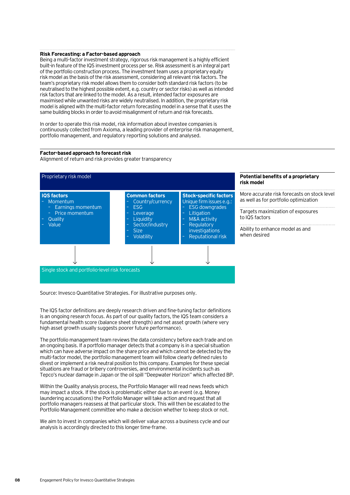#### **Risk Forecasting: a Factor-based approach**

Being a multi-factor investment strategy, rigorous risk management is a highly efficient built-in feature of the IQS investment process per se. Risk assessment is an integral part of the portfolio construction process. The investment team uses a proprietary equity risk model as the basis of the risk assessment, considering all relevant risk factors. The team's proprietary risk model allows them to consider both standard risk factors (to be neutralised to the highest possible extent, e.g. country or sector risks) as well as intended risk factors that are linked to the model. As a result, intended factor exposures are maximised while unwanted risks are widely neutralised. In addition, the proprietary risk model is aligned with the multi-factor return forecasting model in a sense that it uses the same building blocks in order to avoid misalignment of return and risk forecasts.

In order to operate this risk model, risk information about investee companies is continuously collected from Axioma, a leading provider of enterprise risk management, portfolio management, and regulatory reporting solutions and analysed.

### **Factor-based approach to forecast risk**

Alignment of return and risk provides greater transparency



Source: Invesco Quantitative Strategies. For illustrative purposes only.

The IQS factor definitions are deeply research driven and fine-tuning factor definitions is an ongoing research focus. As part of our quality factors, the IQS team considers a fundamental health score (balance sheet strength) and net asset growth (where very high asset growth usually suggests poorer future performance).

The portfolio management team reviews the data consistency before each trade and on an ongoing basis. If a portfolio manager detects that a company is in a special situation which can have adverse impact on the share price and which cannot be detected by the multi-factor model, the portfolio management team will follow clearly defined rules to divest or implement a risk neutral position to this company. Examples for these special situations are fraud or bribery controversies, and environmental incidents such as Tepco's nuclear damage in Japan or the oil spill "Deepwater Horizon" which affected BP.

Within the Quality analysis process, the Portfolio Manager will read news feeds which may impact a stock. If the stock is problematic either due to an event (e.g. Money laundering accusations) the Portfolio Manager will take action and request that all portfolio managers reassess at that particular stock. This will then be escalated to the Portfolio Management committee who make a decision whether to keep stock or not.

We aim to invest in companies which will deliver value across a business cycle and our analysis is accordingly directed to this longer time-frame.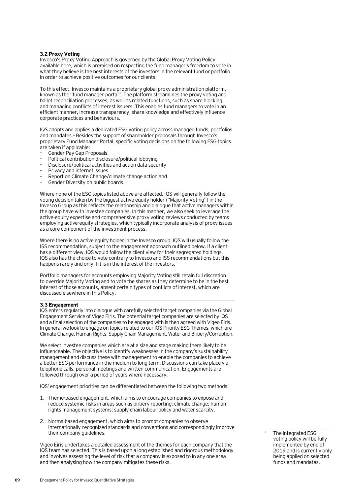## **3.2 Proxy Voting**

Invesco's Proxy Voting Approach is governed by the Global Proxy Voting Policy available here, which is premised on respecting the fund manager's freedom to vote in what they believe is the best interests of the investors in the relevant fund or portfolio in order to achieve positive outcomes for our clients.

To this effect, Invesco maintains a proprietary global proxy administration platform, known as the "fund manager portal". The platform streamlines the proxy voting and ballot reconciliation processes, as well as related functions, such as share blocking and managing conflicts of interest issuers. This enables fund managers to vote in an efficient manner, increase transparency, share knowledge and effectively influence corporate practices and behaviours.

IQS adopts and applies a dedicated ESG voting policy across managed funds, portfolios and mandates.1 Besides the support of shareholder proposals through Invesco's proprietary Fund Manager Portal, specific voting decisions on the following ESG topics are taken if applicable:

- Gender Pay Gap Proposals,
- Political contribution disclosure/political lobbying
- Disclosure/political activities and action data security
- Privacy and internet issues
- Report on Climate Change/climate change action and
- Gender Diversity on public boards.

Where none of the ESG topics listed above are affected, IQS will generally follow the voting decision taken by the biggest active equity holder ("Majority Voting") in the Invesco Group as this reflects the relationship and dialogue that active managers within the group have with investee companies. In this manner, we also seek to leverage the active-equity expertise and comprehensive proxy voting reviews conducted by teams employing active-equity strategies, which typically incorporate analysis of proxy issues as a core component of the investment process.

Where there is no active equity holder in the Invesco group, IQS will usually follow the ISS recommendation, subject to the engagement approach outlined below. If a client has a different view, IQS would follow the client view for their segregated holdings. IQS also has the choice to vote contrary to Invesco and ISS recommendations but this happens rarely and only if it is in the interest of the investors.

Portfolio managers for accounts employing Majority Voting still retain full discretion to override Majority Voting and to vote the shares as they determine to be in the best interest of those accounts, absent certain types of conflicts of interest, which are discussed elsewhere in this Policy.

### **3.3 Engagement**

IQS enters regularly into dialogue with carefully selected target companies via the Global Engagement Service of Vigeo Eiris. The potential target companies are selected by IQS and a final selection of the companies to be engaged with is then agreed with Vigeo Eiris. In general we look to engage on topics related to our IQS Priority ESG Themes, which are Climate Change, Human Rights, Supply Chain Management, Water and Bribery/Corruption.

We select investee companies which are at a size and stage making them likely to be influenceable. The objective is to identify weaknesses in the company's sustainability management and discuss these with management to enable the companies to achieve a better ESG performance in the medium to long term. Discussions can take place via telephone calls, personal meetings and written communication. Engagements are followed through over a period of years where necessary.

IQS' engagement priorities can be differentiated between the following two methods:

- 1. Theme-based engagement, which aims to encourage companies to expose and reduce systemic risks in areas such as bribery reporting; climate change; human rights management systems; supply chain labour policy and water scarcity.
- 2. Norms-based engagement, which aims to prompt companies to observe internationally-recognized standards and conventions and correspondingly improve their company guidelines.

Vigeo Eiris undertakes a detailed assessment of the themes for each company that the IQS team has selected. This is based upon a long established and rigorous methodology and involves assessing the level of risk that a company is exposed to in any one area and then analysing how the company mitigates these risks.

The integrated ESG voting policy will be fully implemented by end of 2019 and is currently only being applied on selected funds and mandates.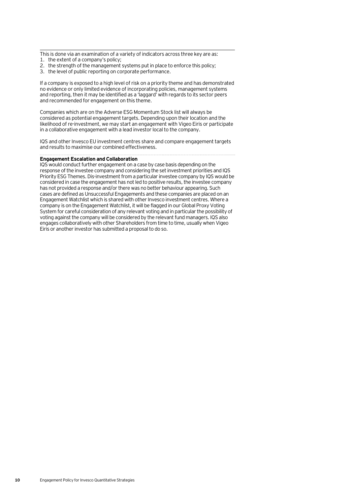This is done via an examination of a variety of indicators across three key are as: 1. the extent of a company's policy;

- 2. the strength of the management systems put in place to enforce this policy;
- 3. the level of public reporting on corporate performance.

If a company is exposed to a high level of risk on a priority theme and has demonstrated no evidence or only limited evidence of incorporating policies, management systems and reporting, then it may be identified as a 'laggard' with regards to its sector peers and recommended for engagement on this theme.

Companies which are on the Adverse ESG Momentum Stock list will always be considered as potential engagement targets. Depending upon their location and the likelihood of re-investment, we may start an engagement with Vigeo Eiris or participate in a collaborative engagement with a lead investor local to the company.

IQS and other Invesco EU investment centres share and compare engagement targets and results to maximise our combined effectiveness.

# **Engagement Escalation and Collaboration**

IQS would conduct further engagement on a case by case basis depending on the response of the investee company and considering the set investment priorities and IQS Priority ESG Themes. Dis-investment from a particular investee company by IQS would be considered in case the engagement has not led to positive results, the investee company has not provided a response and/or there was no better behaviour appearing. Such cases are defined as Unsuccessful Engagements and these companies are placed on an Engagement Watchlist which is shared with other Invesco investment centres. Where a company is on the Engagement Watchlist, it will be flagged in our Global Proxy Voting System for careful consideration of any relevant voting and in particular the possibility of voting against the company will be considered by the relevant fund managers. IQS also engages collaboratively with other Shareholders from time to time, usually when Vigeo Eiris or another investor has submitted a proposal to do so.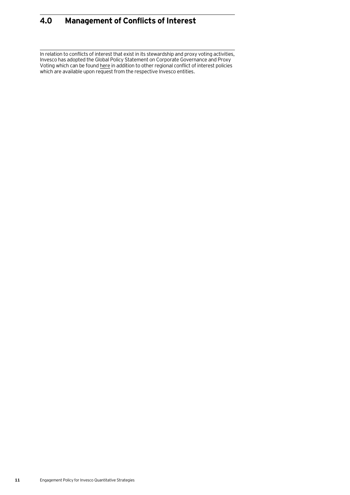# **4.0 Management of Conflicts of Interest**

In relation to conflicts of interest that exist in its stewardship and proxy voting activities, Invesco has adopted the Global Policy Statement on Corporate Governance and Proxy Voting which can be found <u>here</u> in addition to other regional conflict of interest policies which are available upon request from the respective Invesco entities.